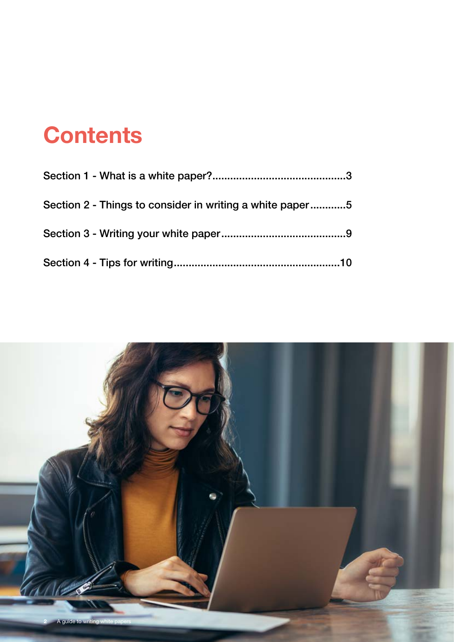# **Contents**

| Section 2 - Things to consider in writing a white paper5 |  |  |
|----------------------------------------------------------|--|--|
|                                                          |  |  |
|                                                          |  |  |

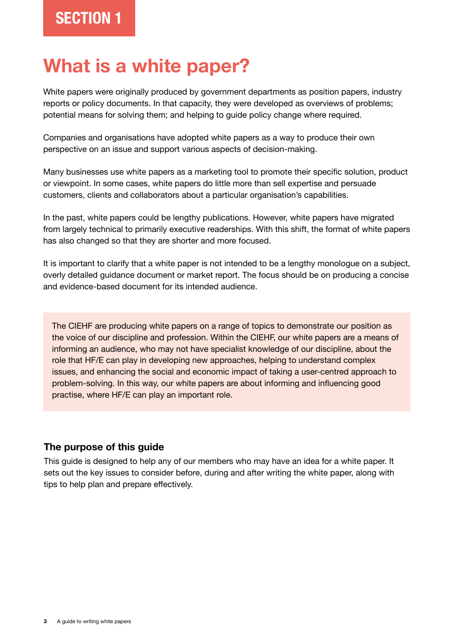## **What is a white paper?**

White papers were originally produced by government departments as position papers, industry reports or policy documents. In that capacity, they were developed as overviews of problems; potential means for solving them; and helping to guide policy change where required.

Companies and organisations have adopted white papers as a way to produce their own perspective on an issue and support various aspects of decision-making.

Many businesses use white papers as a marketing tool to promote their specific solution, product or viewpoint. In some cases, white papers do little more than sell expertise and persuade customers, clients and collaborators about a particular organisation's capabilities.

In the past, white papers could be lengthy publications. However, white papers have migrated from largely technical to primarily executive readerships. With this shift, the format of white papers has also changed so that they are shorter and more focused.

It is important to clarify that a white paper is not intended to be a lengthy monologue on a subject, overly detailed guidance document or market report. The focus should be on producing a concise and evidence-based document for its intended audience.

The CIEHF are producing white papers on a range of topics to demonstrate our position as the voice of our discipline and profession. Within the CIEHF, our white papers are a means of informing an audience, who may not have specialist knowledge of our discipline, about the role that HF/E can play in developing new approaches, helping to understand complex issues, and enhancing the social and economic impact of taking a user-centred approach to problem-solving. In this way, our white papers are about informing and influencing good practise, where HF/E can play an important role.

#### **The purpose of this guide**

This guide is designed to help any of our members who may have an idea for a white paper. It sets out the key issues to consider before, during and after writing the white paper, along with tips to help plan and prepare effectively.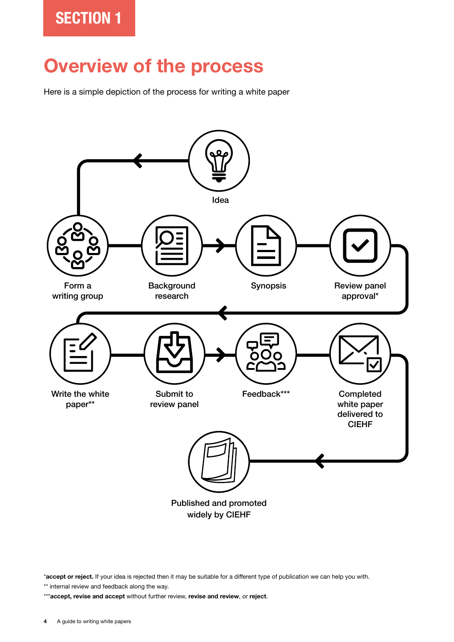### **Overview of the process**

Here is a simple depiction of the process for writing a white paper



widely by CIEHF

\***accept or reject.** If your idea is rejected then it may be suitable for a different type of publication we can help you with.

\*\* internal review and feedback along the way.

\*\*\***accept, revise and accept** without further review, **revise and review**, or **reject**.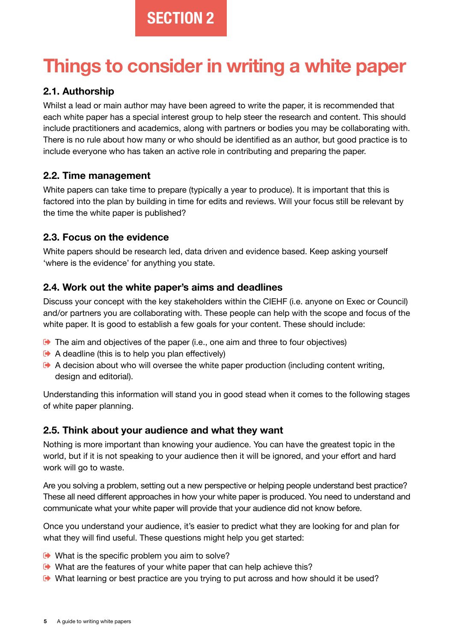## **Things to consider in writing a white paper**

#### **2.1. Authorship**

Whilst a lead or main author may have been agreed to write the paper, it is recommended that each white paper has a special interest group to help steer the research and content. This should include practitioners and academics, along with partners or bodies you may be collaborating with. There is no rule about how many or who should be identified as an author, but good practice is to include everyone who has taken an active role in contributing and preparing the paper.

#### **2.2. Time management**

White papers can take time to prepare (typically a year to produce). It is important that this is factored into the plan by building in time for edits and reviews. Will your focus still be relevant by the time the white paper is published?

#### **2.3. Focus on the evidence**

White papers should be research led, data driven and evidence based. Keep asking yourself 'where is the evidence' for anything you state.

#### **2.4. Work out the white paper's aims and deadlines**

Discuss your concept with the key stakeholders within the CIEHF (i.e. anyone on Exec or Council) and/or partners you are collaborating with. These people can help with the scope and focus of the white paper. It is good to establish a few goals for your content. These should include:

- The aim and objectives of the paper (i.e., one aim and three to four objectives)
- $\leftrightarrow$  A deadline (this is to help you plan effectively)
- A decision about who will oversee the white paper production (including content writing, design and editorial).

Understanding this information will stand you in good stead when it comes to the following stages of white paper planning.

#### **2.5. Think about your audience and what they want**

Nothing is more important than knowing your audience. You can have the greatest topic in the world, but if it is not speaking to your audience then it will be ignored, and your effort and hard work will go to waste.

Are you solving a problem, setting out a new perspective or helping people understand best practice? These all need different approaches in how your white paper is produced. You need to understand and communicate what your white paper will provide that your audience did not know before.

Once you understand your audience, it's easier to predict what they are looking for and plan for what they will find useful. These questions might help you get started:

- $\rightarrow$  What is the specific problem you aim to solve?
- What are the features of your white paper that can help achieve this?
- What learning or best practice are you trying to put across and how should it be used?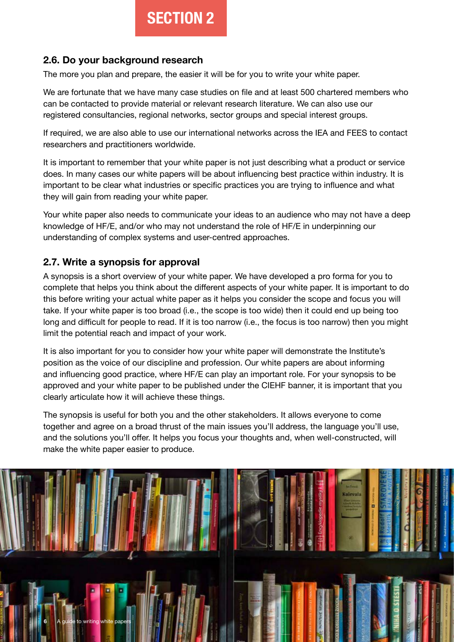#### **2.6. Do your background research**

The more you plan and prepare, the easier it will be for you to write your white paper.

We are fortunate that we have many case studies on file and at least 500 chartered members who can be contacted to provide material or relevant research literature. We can also use our registered consultancies, regional networks, sector groups and special interest groups.

If required, we are also able to use our international networks across the IEA and FEES to contact researchers and practitioners worldwide.

It is important to remember that your white paper is not just describing what a product or service does. In many cases our white papers will be about influencing best practice within industry. It is important to be clear what industries or specific practices you are trying to influence and what they will gain from reading your white paper.

Your white paper also needs to communicate your ideas to an audience who may not have a deep knowledge of HF/E, and/or who may not understand the role of HF/E in underpinning our understanding of complex systems and user-centred approaches.

#### **2.7. Write a synopsis for approval**

A synopsis is a short overview of your white paper. We have developed a pro forma for you to complete that helps you think about the different aspects of your white paper. It is important to do this before writing your actual white paper as it helps you consider the scope and focus you will take. If your white paper is too broad (i.e., the scope is too wide) then it could end up being too long and difficult for people to read. If it is too narrow (i.e., the focus is too narrow) then you might limit the potential reach and impact of your work.

It is also important for you to consider how your white paper will demonstrate the Institute's position as the voice of our discipline and profession. Our white papers are about informing and influencing good practice, where HF/E can play an important role. For your synopsis to be approved and your white paper to be published under the CIEHF banner, it is important that you clearly articulate how it will achieve these things.

The synopsis is useful for both you and the other stakeholders. It allows everyone to come together and agree on a broad thrust of the main issues you'll address, the language you'll use, and the solutions you'll offer. It helps you focus your thoughts and, when well-constructed, will make the white paper easier to produce.

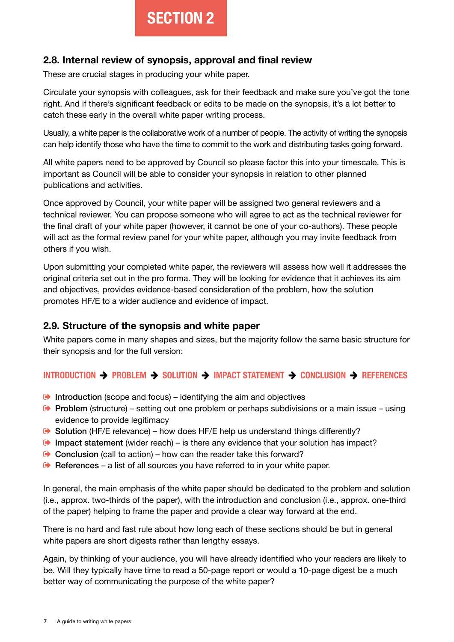#### **2.8. Internal review of synopsis, approval and final review**

These are crucial stages in producing your white paper.

Circulate your synopsis with colleagues, ask for their feedback and make sure you've got the tone right. And if there's significant feedback or edits to be made on the synopsis, it's a lot better to catch these early in the overall white paper writing process.

Usually, a white paper is the collaborative work of a number of people. The activity of writing the synopsis can help identify those who have the time to commit to the work and distributing tasks going forward.

All white papers need to be approved by Council so please factor this into your timescale. This is important as Council will be able to consider your synopsis in relation to other planned publications and activities.

Once approved by Council, your white paper will be assigned two general reviewers and a technical reviewer. You can propose someone who will agree to act as the technical reviewer for the final draft of your white paper (however, it cannot be one of your co-authors). These people will act as the formal review panel for your white paper, although you may invite feedback from others if you wish.

Upon submitting your completed white paper, the reviewers will assess how well it addresses the original criteria set out in the pro forma. They will be looking for evidence that it achieves its aim and objectives, provides evidence-based consideration of the problem, how the solution promotes HF/E to a wider audience and evidence of impact.

#### **2.9. Structure of the synopsis and white paper**

White papers come in many shapes and sizes, but the majority follow the same basic structure for their synopsis and for the full version:

#### **INTRODUCTION PROBLEM SOLUTION IMPACT STATEMENT CONCLUSION REFERENCES**

- $\bullet$  Introduction (scope and focus) identifying the aim and objectives
- **Problem** (structure) setting out one problem or perhaps subdivisions or a main issue using evidence to provide legitimacy
- Solution (HF/E relevance) how does HF/E help us understand things differently?
- **Impact statement** (wider reach) is there any evidence that your solution has impact?
- $\bullet$  Conclusion (call to action) how can the reader take this forward?
- $\blacktriangleright$  References a list of all sources you have referred to in your white paper.

In general, the main emphasis of the white paper should be dedicated to the problem and solution (i.e., approx. two-thirds of the paper), with the introduction and conclusion (i.e., approx. one-third of the paper) helping to frame the paper and provide a clear way forward at the end.

There is no hard and fast rule about how long each of these sections should be but in general white papers are short digests rather than lengthy essays.

Again, by thinking of your audience, you will have already identified who your readers are likely to be. Will they typically have time to read a 50-page report or would a 10-page digest be a much better way of communicating the purpose of the white paper?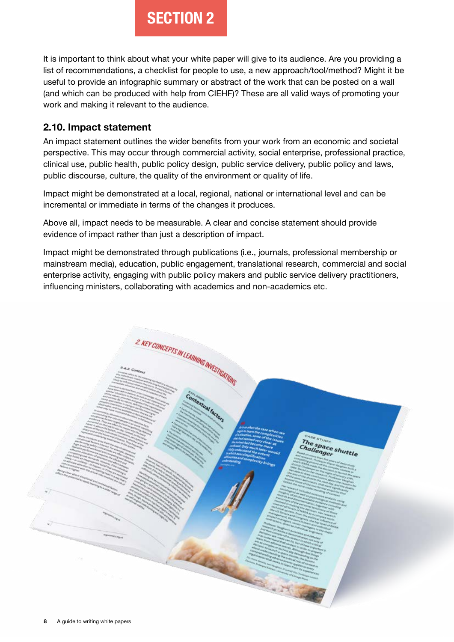It is important to think about what your white paper will give to its audience. Are you providing a list of recommendations, a checklist for people to use, a new approach/tool/method? Might it be useful to provide an infographic summary or abstract of the work that can be posted on a wall (and which can be produced with help from CIEHF)? These are all valid ways of promoting your work and making it relevant to the audience.

#### **2.10. Impact statement**

An impact statement outlines the wider benefits from your work from an economic and societal perspective. This may occur through commercial activity, social enterprise, professional practice, clinical use, public health, public policy design, public service delivery, public policy and laws, public discourse, culture, the quality of the environment or quality of life.

Impact might be demonstrated at a local, regional, national or international level and can be incremental or immediate in terms of the changes it produces.

Above all, impact needs to be measurable. A clear and concise statement should provide evidence of impact rather than just a description of impact.

Impact might be demonstrated through publications (i.e., journals, professional membership or mainstream media), education, public engagement, translational research, commercial and social enterprise activity, engaging with public policy makers and public service delivery practitioners, influencing ministers, collaborating with academics and non-academics etc.

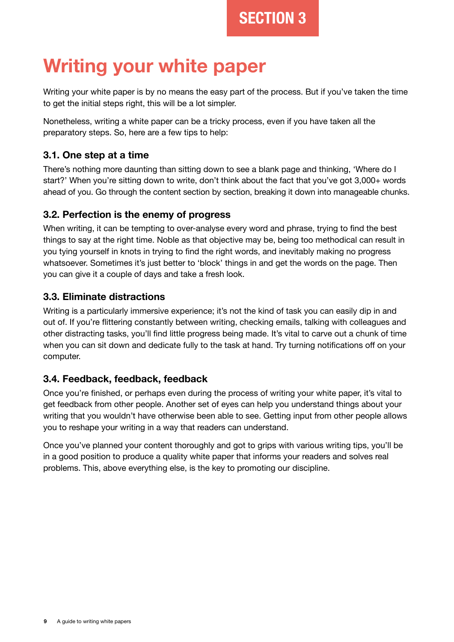## **Writing your white paper**

Writing your white paper is by no means the easy part of the process. But if you've taken the time to get the initial steps right, this will be a lot simpler.

Nonetheless, writing a white paper can be a tricky process, even if you have taken all the preparatory steps. So, here are a few tips to help:

#### **3.1. One step at a time**

There's nothing more daunting than sitting down to see a blank page and thinking, 'Where do I start?' When you're sitting down to write, don't think about the fact that you've got 3,000+ words ahead of you. Go through the content section by section, breaking it down into manageable chunks.

#### **3.2. Perfection is the enemy of progress**

When writing, it can be tempting to over-analyse every word and phrase, trying to find the best things to say at the right time. Noble as that objective may be, being too methodical can result in you tying yourself in knots in trying to find the right words, and inevitably making no progress whatsoever. Sometimes it's just better to 'block' things in and get the words on the page. Then you can give it a couple of days and take a fresh look.

#### **3.3. Eliminate distractions**

Writing is a particularly immersive experience; it's not the kind of task you can easily dip in and out of. If you're flittering constantly between writing, checking emails, talking with colleagues and other distracting tasks, you'll find little progress being made. It's vital to carve out a chunk of time when you can sit down and dedicate fully to the task at hand. Try turning notifications off on your computer.

#### **3.4. Feedback, feedback, feedback**

Once you're finished, or perhaps even during the process of writing your white paper, it's vital to get feedback from other people. Another set of eyes can help you understand things about your writing that you wouldn't have otherwise been able to see. Getting input from other people allows you to reshape your writing in a way that readers can understand.

Once you've planned your content thoroughly and got to grips with various writing tips, you'll be in a good position to produce a quality white paper that informs your readers and solves real problems. This, above everything else, is the key to promoting our discipline.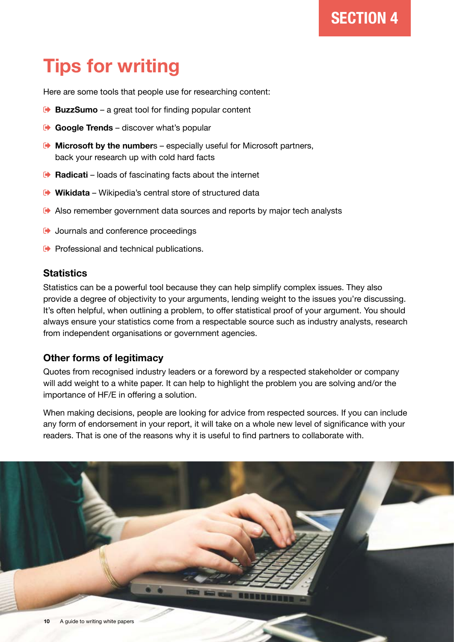## **Tips for writing**

Here are some tools that people use for researching content:

- **[BuzzSumo](https://buzzsumo.com/p/30-day-free-trial/?utm_content=30daytrial&utm_source=googlel&utm_medium=cpc&utm_campaign=Branded%20-%20UK&utm_term=buzzsumo&gclid=Cj0KCQiA_8OPBhDtARIsAKQu0gaz4xDmAf9Bgp_cmVCZxF-lgx89rwUoDMwUtgfaWoEZ4r6yLQ1g2B0aApGBEALw_wcB)** a great tool for finding popular content
- **[Google Trends](https://trends.google.com/trends/?geo=GB)** discover what's popular
- **[Microsoft by the number](https://news.microsoft.com/bythenumbers/en/homepage)**s especially useful for Microsoft partners, back your research up with cold hard facts
- **[Radicati](https://www.radicati.com/)** loads of fascinating facts about the internet
- **[Wikidata](https://www.wikidata.org/wiki/Wikidata:Main_Page)** Wikipedia's central store of structured data
- Also remember government data sources and reports by major tech analysts
- $\rightarrow$  Journals and conference proceedings
- $\rightarrow$  Professional and technical publications.

#### **Statistics**

Statistics can be a powerful tool because they can help simplify complex issues. They also provide a degree of objectivity to your arguments, lending weight to the issues you're discussing. It's often helpful, when outlining a problem, to offer statistical proof of your argument. You should always ensure your statistics come from a respectable source such as industry analysts, research from independent organisations or government agencies.

#### **Other forms of legitimacy**

Quotes from recognised industry leaders or a foreword by a respected stakeholder or company will add weight to a white paper. It can help to highlight the problem you are solving and/or the importance of HF/E in offering a solution.

When making decisions, people are looking for advice from respected sources. If you can include any form of endorsement in your report, it will take on a whole new level of significance with your readers. That is one of the reasons why it is useful to find partners to collaborate with.